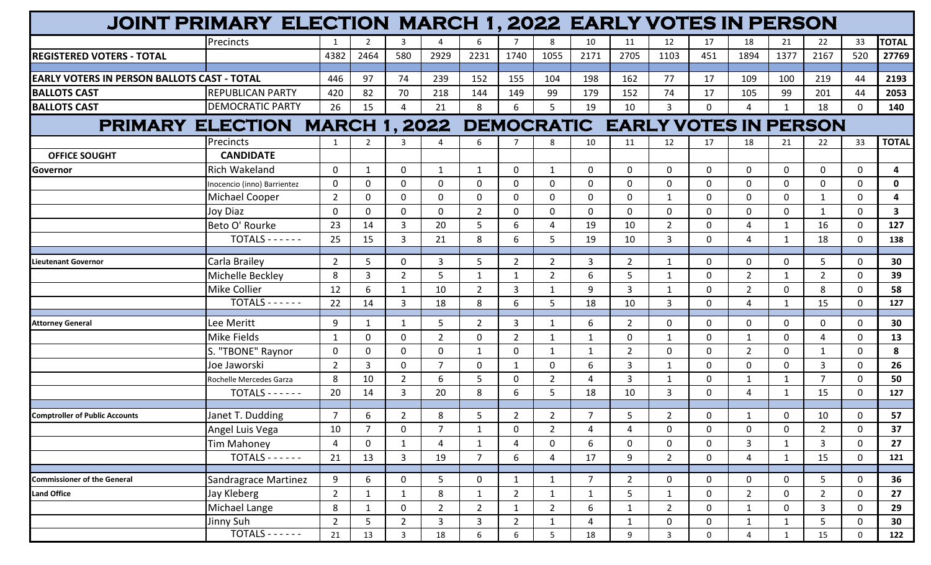| JOINT PRIMARY ELECTION MARCH 1, 2022 EARLY VOTES IN PERSON      |                             |                |                |                |                |                |                |                |                |                |                |              |                |              |                |              |              |
|-----------------------------------------------------------------|-----------------------------|----------------|----------------|----------------|----------------|----------------|----------------|----------------|----------------|----------------|----------------|--------------|----------------|--------------|----------------|--------------|--------------|
|                                                                 | Precincts                   |                | $\overline{2}$ | 3              | Δ              | 6              |                | 8              | 10             | 11             | 12             | 17           | 18             | 21           | 22             | 33           | <b>TOTAL</b> |
| <b>REGISTERED VOTERS - TOTAL</b>                                |                             | 4382           | 2464           | 580            | 2929           | 2231           | 1740           | 1055           | 2171           | 2705           | 1103           | 451          | 1894           | 1377         | 2167           | 520          | 27769        |
|                                                                 |                             |                |                |                |                |                |                |                |                |                |                |              |                |              |                |              |              |
| EARLY VOTERS IN PERSON BALLOTS CAST - TOTAL                     |                             | 446            | 97             | 74             | 239            | 152            | 155            | 104            | 198            | 162            | 77             | 17           | 109            | 100          | 219            | 44           | 2193         |
| <b>BALLOTS CAST</b>                                             | <b>REPUBLICAN PARTY</b>     | 420            | 82             | 70             | 218            | 144            | 149            | 99             | 179            | 152            | 74             | 17           | 105            | 99           | 201            | 44           | 2053         |
| <b>BALLOTS CAST</b>                                             | <b>DEMOCRATIC PARTY</b>     | 26             | 15             |                | 21             | 8              | 6              | 5              | 19             | 10             | $\overline{3}$ | $\Omega$     | 4              | $\mathbf{1}$ | 18             | $\mathbf 0$  | 140          |
| PRIMARY ELECTION MARCH 1, 2022 DEMOCRATIC EARLY VOTES IN PERSON |                             |                |                |                |                |                |                |                |                |                |                |              |                |              |                |              |              |
|                                                                 | Precincts                   | 1              | $\overline{2}$ | 3              | 4              | 6              | 7              | 8              | 10             | 11             | 12             | 17           | 18             | 21           | 22             | 33           | <b>TOTAL</b> |
| <b>OFFICE SOUGHT</b>                                            | <b>CANDIDATE</b>            |                |                |                |                |                |                |                |                |                |                |              |                |              |                |              |              |
| <b>Governor</b>                                                 | <b>Rich Wakeland</b>        | $\mathbf{0}$   | $\mathbf{1}$   | $\Omega$       | $\mathbf{1}$   | 1              | $\mathbf 0$    | $\mathbf{1}$   | $\mathbf{0}$   | 0              | $\mathbf 0$    | $\Omega$     | $\Omega$       | 0            | 0              | $\Omega$     | 4            |
|                                                                 | Inocencio (inno) Barrientez | $\mathbf{0}$   | $\mathbf 0$    | $\Omega$       | $\mathbf{0}$   | $\mathbf 0$    | $\mathbf 0$    | $\mathbf{0}$   | $\mathbf{0}$   | 0              | $\mathbf 0$    | $\Omega$     | $\Omega$       | 0            | $\Omega$       | $\Omega$     | $\mathbf{0}$ |
|                                                                 | Michael Cooper              | $\overline{2}$ | $\mathbf 0$    | $\Omega$       | $\Omega$       | $\mathbf 0$    | $\mathbf 0$    | $\mathbf 0$    | $\mathbf{0}$   | $\mathbf{0}$   | 1              | $\Omega$     | $\Omega$       | 0            | 1              | $\mathbf 0$  | 4            |
|                                                                 | Joy Diaz                    | $\mathbf{0}$   | $\mathbf{0}$   | $\Omega$       | $\mathbf{0}$   | $2^{\circ}$    | $\mathbf 0$    | 0              | $\mathbf{0}$   | 0              | 0              | $\Omega$     | 0              | 0            | $\mathbf{1}$   | $\mathbf 0$  | 3            |
|                                                                 | Beto O' Rourke              | 23             | 14             | 3              | 20             | 5              | 6              | 4              | 19             | 10             | $\overline{2}$ | $\mathbf{0}$ | 4              | 1            | 16             | $\mathbf 0$  | 127          |
|                                                                 | $TOTALS - - - - -$          | 25             | 15             | 3              | 21             | 8              | 6              | 5              | 19             | 10             | $\mathbf{3}$   | $\mathbf{0}$ | 4              | $\mathbf{1}$ | 18             | $\mathbf 0$  | 138          |
| <b>Lieutenant Governor</b>                                      | Carla Brailey               | $\overline{2}$ | 5              | $\Omega$       | 3              | 5              | $\overline{2}$ | $\overline{2}$ | 3              | $\overline{2}$ | $\mathbf{1}$   | 0            | 0              | 0            | 5              | $\Omega$     | 30           |
|                                                                 | Michelle Beckley            | 8              | $\overline{3}$ | $\overline{2}$ | 5              | $\mathbf{1}$   | $\mathbf{1}$   | $\overline{2}$ | 6              | 5              | 1              | 0            | $\overline{2}$ | 1            | $\overline{2}$ | $\mathbf 0$  | 39           |
|                                                                 | <b>Mike Collier</b>         | 12             | 6              | -1             | 10             | $2^{\circ}$    | $\overline{3}$ | $\mathbf{1}$   | 9              | $\mathbf{3}$   | 1              | $\mathbf{0}$ | $\overline{2}$ | 0            | 8              | $\mathbf 0$  | 58           |
|                                                                 | $TOTALS$ -----              | 22             | 14             | 3              | 18             | 8              | 6              | 5              | 18             | 10             | 3              | $\Omega$     | 4              | $\mathbf 1$  | 15             | $\Omega$     | 127          |
| <b>Attorney General</b>                                         | Lee Meritt                  | 9              | 1              | $\mathbf{1}$   | 5              | $\overline{2}$ | $\overline{3}$ | $\mathbf{1}$   | 6              | $\overline{2}$ | $\mathbf 0$    | 0            | 0              | 0            | 0              | $\mathbf 0$  | 30           |
|                                                                 | Mike Fields                 |                | $\mathbf 0$    | $\Omega$       | $\overline{2}$ | $\mathbf 0$    | $\overline{2}$ | 1              |                | 0              | 1              | 0            | 1              | 0            | 4              | $\mathbf 0$  | 13           |
|                                                                 | S. "TBONE" Raynor           | $\mathbf{0}$   | 0              | $\Omega$       | $\mathbf{0}$   | $\mathbf{1}$   | $\mathbf 0$    | 1              |                | $\overline{2}$ | $\mathbf 0$    | $\Omega$     | $\overline{2}$ | 0            | $\mathbf{1}$   | $\mathbf 0$  | 8            |
|                                                                 | Joe Jaworski                | $\overline{2}$ | 3              | $\Omega$       | $\overline{7}$ | 0              | 1              | $\mathbf 0$    | 6              | 3              | 1              | $\mathbf{0}$ | 0              | 0            | 3              | $\mathbf 0$  | 26           |
|                                                                 | Rochelle Mercedes Garza     | 8              | 10             | $\overline{2}$ | 6              | 5              | $\mathbf 0$    | $\overline{2}$ | $\overline{4}$ | 3              | $\mathbf{1}$   | $\mathbf{0}$ | $\mathbf{1}$   | 1            | $\overline{7}$ | $\mathbf 0$  | 50           |
|                                                                 | $TOTALS - - - - -$          | 20             | 14             | 3              | 20             | 8              | 6              | 5              | 18             | 10             | 3              | 0            | 4              | $\mathbf{1}$ | 15             | $\mathbf 0$  | 127          |
|                                                                 |                             |                |                |                |                |                |                |                |                |                |                |              |                |              |                |              |              |
| <b>Comptroller of Public Accounts</b>                           | Janet T. Dudding            | $\overline{7}$ | 6              | $\overline{2}$ | 8              | 5              | $\overline{2}$ | $\overline{2}$ | 7              | 5              | $\overline{2}$ | 0            | -1             | $\Omega$     | 10             | $\mathbf{0}$ | 57           |
|                                                                 | Angel Luis Vega             | 10             | $\overline{7}$ | 0              | $\overline{7}$ | $\mathbf{1}$   | $\mathbf 0$    | $\overline{2}$ | 4              | 4              | $\mathbf 0$    | 0            | 0              | 0            | $\overline{2}$ | $\mathbf 0$  | 37           |
|                                                                 | <b>Tim Mahoney</b>          | 4              | $\mathbf 0$    | 1              | 4              | $\mathbf{1}$   | 4              | $\mathbf 0$    | 6              | 0              | $\mathbf 0$    | 0            | 3              | $\mathbf{1}$ | $\mathbf{3}$   | $\mathbf 0$  | 27           |
|                                                                 | $TOTALS - - - - -$          | 21             | 13             | $\overline{3}$ | 19             | 7 <sup>1</sup> | 6              | $\overline{4}$ | 17             | 9              | $2^{\circ}$    | $\mathbf 0$  | 4              | $\mathbf{1}$ | 15             | $\mathbf 0$  | 121          |
| <b>Commissioner of the General</b>                              | Sandragrace Martinez        | 9              | 6              | $\mathbf 0$    | 5              | $\mathsf{O}$   | $\mathbf{1}$   | $\mathbf{1}$   | $\overline{7}$ | $2^{\circ}$    | $\mathbf 0$    | $\mathbf 0$  | $\mathbf 0$    | 0            | 5              | $\mathbf 0$  | 36           |
| <b>Land Office</b>                                              | Jay Kleberg                 | $\overline{2}$ | $\mathbf{1}$   | 1              | 8              | $\mathbf{1}$   | $\overline{2}$ | $\mathbf{1}$   | $\mathbf{1}$   | 5              | $\mathbf{1}$   | 0            | $\overline{2}$ | 0            | $2^{\circ}$    | 0            | 27           |
|                                                                 | Michael Lange               | 8              | $\mathbf{1}$   | 0              | $2^{\circ}$    | $2^{\circ}$    | $\mathbf{1}$   | $\overline{2}$ | 6              | $\mathbf{1}$   | $2^{\circ}$    | $\mathbf 0$  | $\mathbf{1}$   | 0            | $\mathbf{3}$   | $\mathbf 0$  | 29           |
|                                                                 | Jinny Suh                   | $\overline{2}$ | 5              | $\overline{2}$ | 3              | $\mathbf{3}$   | $\overline{2}$ | $\mathbf{1}$   | $\overline{4}$ | $\mathbf{1}$   | $\mathbf 0$    | 0            | $\mathbf{1}$   | $\mathbf{1}$ | 5              | $\mathbf 0$  | 30           |
|                                                                 | $TOTALS$ ------             | 21             | 13             | $\mathbf{3}$   | 18             | 6              | 6              | 5 <sub>1</sub> | 18             | 9              | $\mathbf{3}$   | $\mathbf 0$  | 4              | $\mathbf{1}$ | 15             | $\mathbf 0$  | 122          |